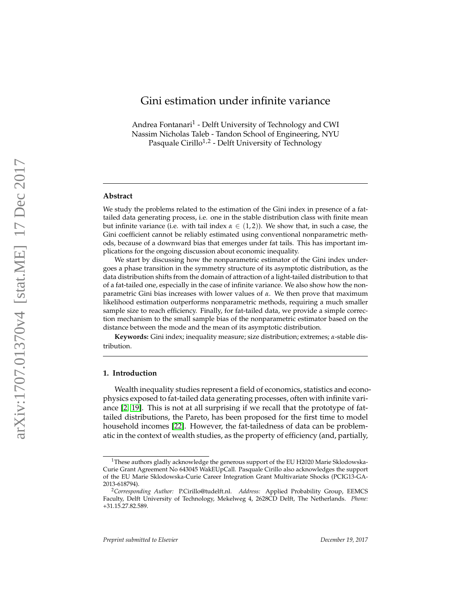# <span id="page-0-0"></span>Gini estimation under infinite variance

Andrea Fontanari 1 - Delft University of Technology and CWI Nassim Nicholas Taleb - Tandon School of Engineering, NYU Pasquale Cirillo<sup>1,2</sup> - Delft University of Technology

# **Abstract**

We study the problems related to the estimation of the Gini index in presence of a fattailed data generating process, i.e. one in the stable distribution class with finite mean but infinite variance (i.e. with tail index  $\alpha \in (1,2)$ ). We show that, in such a case, the Gini coefficient cannot be reliably estimated using conventional nonparametric methods, because of a downward bias that emerges under fat tails. This has important implications for the ongoing discussion about economic inequality.

We start by discussing how the nonparametric estimator of the Gini index undergoes a phase transition in the symmetry structure of its asymptotic distribution, as the data distribution shifts from the domain of attraction of a light-tailed distribution to that of a fat-tailed one, especially in the case of infinite variance. We also show how the nonparametric Gini bias increases with lower values of *α*. We then prove that maximum likelihood estimation outperforms nonparametric methods, requiring a much smaller sample size to reach efficiency. Finally, for fat-tailed data, we provide a simple correction mechanism to the small sample bias of the nonparametric estimator based on the distance between the mode and the mean of its asymptotic distribution.

**Keywords:** Gini index; inequality measure; size distribution; extremes; *α*-stable distribution.

#### **1. Introduction**

Wealth inequality studies represent a field of economics, statistics and econophysics exposed to fat-tailed data generating processes, often with infinite variance [\[2,](#page-20-0) [19\]](#page-21-0). This is not at all surprising if we recall that the prototype of fattailed distributions, the Pareto, has been proposed for the first time to model household incomes [\[22\]](#page-21-1). However, the fat-tailedness of data can be problematic in the context of wealth studies, as the property of efficiency (and, partially,

<sup>&</sup>lt;sup>1</sup>These authors gladly acknowledge the generous support of the EU H2020 Marie Sklodowska-Curie Grant Agreement No 643045 WakEUpCall. Pasquale Cirillo also acknowledges the support of the EU Marie Sklodowska-Curie Career Integration Grant Multivariate Shocks (PCIG13-GA-2013-618794).

<sup>2</sup>*Corresponding Author:* P.Cirillo@tudelft.nl. *Address:* Applied Probability Group, EEMCS Faculty, Delft University of Technology, Mekelweg 4, 2628CD Delft, The Netherlands. *Phone:* +31.15.27.82.589.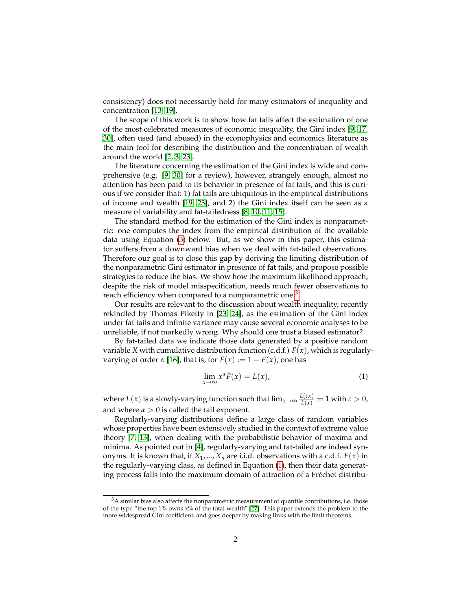consistency) does not necessarily hold for many estimators of inequality and concentration [\[13,](#page-20-1) [19\]](#page-21-0).

The scope of this work is to show how fat tails affect the estimation of one of the most celebrated measures of economic inequality, the Gini index [\[9,](#page-20-2) [17,](#page-21-2) [30\]](#page-21-3), often used (and abused) in the econophysics and economics literature as the main tool for describing the distribution and the concentration of wealth around the world [\[2,](#page-20-0) [3,](#page-20-3) [23\]](#page-21-4).

The literature concerning the estimation of the Gini index is wide and comprehensive (e.g. [\[9,](#page-20-2) [30\]](#page-21-3) for a review), however, strangely enough, almost no attention has been paid to its behavior in presence of fat tails, and this is curious if we consider that: 1) fat tails are ubiquitous in the empirical distributions of income and wealth [\[19,](#page-21-0) [23\]](#page-21-4), and 2) the Gini index itself can be seen as a measure of variability and fat-tailedness [\[8,](#page-20-4) [10,](#page-20-5) [11,](#page-20-6) [15\]](#page-21-5).

The standard method for the estimation of the Gini index is nonparametric: one computes the index from the empirical distribution of the available data using Equation [\(5\)](#page-4-0) below. But, as we show in this paper, this estimator suffers from a downward bias when we deal with fat-tailed observations. Therefore our goal is to close this gap by deriving the limiting distribution of the nonparametric Gini estimator in presence of fat tails, and propose possible strategies to reduce the bias. We show how the maximum likelihood approach, despite the risk of model misspecification, needs much fewer observations to reach efficiency when compared to a nonparametric one.<sup>[3](#page-1-0)</sup>

Our results are relevant to the discussion about wealth inequality, recently rekindled by Thomas Piketty in [\[23,](#page-21-4) [24\]](#page-21-6), as the estimation of the Gini index under fat tails and infinite variance may cause several economic analyses to be unreliable, if not markedly wrong. Why should one trust a biased estimator?

By fat-tailed data we indicate those data generated by a positive random variable *X* with cumulative distribution function (c.d.f.)  $F(x)$ , which is regularlyvarying of order  $\alpha$  [\[16\]](#page-21-7), that is, for  $\bar{F}(x) := 1 - F(x)$ , one has

<span id="page-1-1"></span>
$$
\lim_{x \to \infty} x^{\alpha} \bar{F}(x) = L(x), \tag{1}
$$

where  $L(x)$  is a slowly-varying function such that  $\lim_{x\to\infty}\frac{L(cx)}{L(x)}=1$  with  $c>0$ , and where  $\alpha > 0$  is called the tail exponent.

Regularly-varying distributions define a large class of random variables whose properties have been extensively studied in the context of extreme value theory [\[7,](#page-20-7) [13\]](#page-20-1), when dealing with the probabilistic behavior of maxima and minima. As pointed out in [\[4\]](#page-20-8), regularly-varying and fat-tailed are indeed synonyms. It is known that, if  $X_1, ..., X_n$  are i.i.d. observations with a c.d.f.  $F(x)$  in the regularly-varying class, as defined in Equation [\(1\)](#page-1-1), then their data generating process falls into the maximum domain of attraction of a Fréchet distribu-

<span id="page-1-0"></span> $3A$  similar bias also affects the nonparametric measurement of quantile contributions, i.e. those of the type "the top 1% owns x% of the total wealth" [\[27\]](#page-21-8). This paper extends the problem to the more widespread Gini coefficient, and goes deeper by making links with the limit theorems.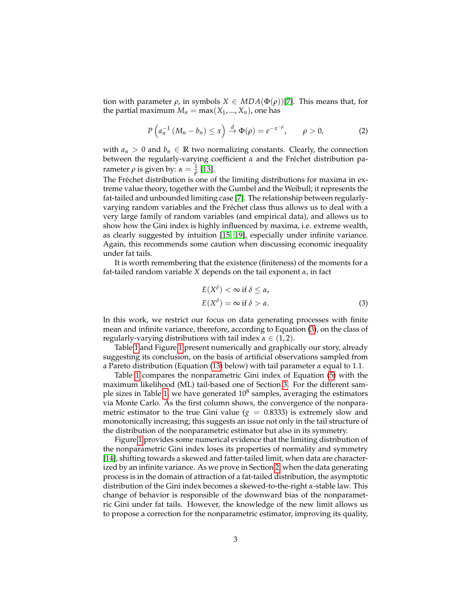tion with parameter *ρ*, in symbols  $X \in MDA(\Phi(\rho))$ [\[7\]](#page-20-7). This means that, for the partial maximum  $M_n = \max(X_1, ..., X_n)$ , one has

<span id="page-2-1"></span>
$$
P\left(a_n^{-1}\left(M_n-b_n\right)\leq x\right)\stackrel{d}{\to}\Phi(\rho)=e^{-x^{-\rho}},\qquad \rho>0,\qquad (2)
$$

with  $a_n > 0$  and  $b_n \in \mathbb{R}$  two normalizing constants. Clearly, the connection between the regularly-varying coefficient *α* and the Fréchet distribution parameter  $\rho$  is given by:  $\alpha = \frac{1}{\rho}$  [\[13\]](#page-20-1).

The Fréchet distribution is one of the limiting distributions for maxima in extreme value theory, together with the Gumbel and the Weibull; it represents the fat-tailed and unbounded limiting case [\[7\]](#page-20-7). The relationship between regularlyvarying random variables and the Fréchet class thus allows us to deal with a very large family of random variables (and empirical data), and allows us to show how the Gini index is highly influenced by maxima, i.e. extreme wealth, as clearly suggested by intuition [\[15,](#page-21-5) [19\]](#page-21-0), especially under infinite variance. Again, this recommends some caution when discussing economic inequality under fat tails.

It is worth remembering that the existence (finiteness) of the moments for a fat-tailed random variable *X* depends on the tail exponent *α*, in fact

<span id="page-2-0"></span>
$$
E(X^{\delta}) < \infty \text{ if } \delta \le \alpha,
$$
  
\n
$$
E(X^{\delta}) = \infty \text{ if } \delta > \alpha.
$$
 (3)

In this work, we restrict our focus on data generating processes with finite mean and infinite variance, therefore, according to Equation [\(3\)](#page-2-0), on the class of regularly-varying distributions with tail index  $\alpha \in (1, 2)$ .

Table [1](#page-3-0) and Figure [1](#page-3-1) present numerically and graphically our story, already suggesting its conclusion, on the basis of artificial observations sampled from a Pareto distribution (Equation [\(13\)](#page-7-0) below) with tail parameter *α* equal to 1.1.

Table [1](#page-3-0) compares the nonparametric Gini index of Equation [\(5\)](#page-4-0) with the maximum likelihood (ML) tail-based one of Section [3.](#page-7-1) For the different sam-ple sizes in Table [1,](#page-3-0) we have generated  $10^8$  samples, averaging the estimators via Monte Carlo. As the first column shows, the convergence of the nonparametric estimator to the true Gini value  $(g = 0.8333)$  is extremely slow and monotonically increasing; this suggests an issue not only in the tail structure of the distribution of the nonparametric estimator but also in its symmetry.

Figure [1](#page-3-1) provides some numerical evidence that the limiting distribution of the nonparametric Gini index loses its properties of normality and symmetry [\[14\]](#page-20-9), shifting towards a skewed and fatter-tailed limit, when data are characterized by an infinite variance. As we prove in Section [2,](#page-4-1) when the data generating process is in the domain of attraction of a fat-tailed distribution, the asymptotic distribution of the Gini index becomes a skewed-to-the-right *α*-stable law. This change of behavior is responsible of the downward bias of the nonparametric Gini under fat tails. However, the knowledge of the new limit allows us to propose a correction for the nonparametric estimator, improving its quality,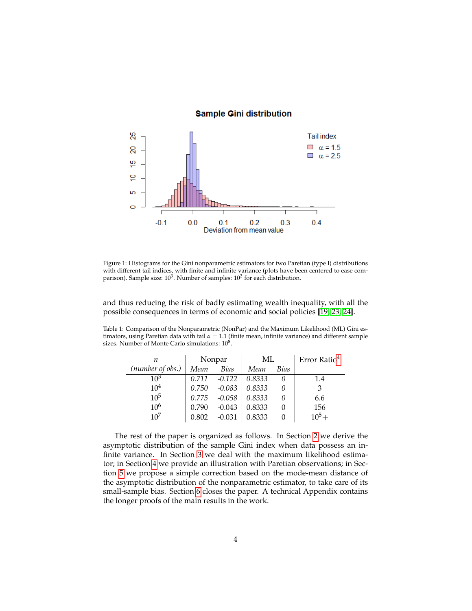# **Sample Gini distribution**

<span id="page-3-1"></span>

Figure 1: Histograms for the Gini nonparametric estimators for two Paretian (type I) distributions with different tail indices, with finite and infinite variance (plots have been centered to ease comparison). Sample size:  $10^3$ . Number of samples:  $10^2$  for each distribution.

and thus reducing the risk of badly estimating wealth inequality, with all the possible consequences in terms of economic and social policies [\[19,](#page-21-0) [23,](#page-21-4) [24\]](#page-21-6).

<span id="page-3-0"></span>Table 1: Comparison of the Nonparametric (NonPar) and the Maximum Likelihood (ML) Gini estimators, using Paretian data with tail *α* = 1.1 (finite mean, infinite variance) and different sample sizes. Number of Monte Carlo simulations:  $10^8$ .

| п                | Nonpar |             | МL     |             | Error Ratio <sup>4</sup> |
|------------------|--------|-------------|--------|-------------|--------------------------|
| (number of obs.) | Mean   | <b>Bias</b> | Mean   | <i>Bias</i> |                          |
| $10^3$           | 0.711  | $-0.122$    | 0.8333 |             | 1.4                      |
| 10 <sup>4</sup>  | 0.750  | $-0.083$    | 0.8333 |             | 3                        |
| $10^{5}$         | 0.775  | $-0.058$    | 0.8333 |             | 6.6                      |
| 10 <sup>6</sup>  | 0.790  | $-0.043$    | 0.8333 |             | 156                      |
| $10^{7}$         | 0.802  | $-0.031$    | 0.8333 |             | $10^5 +$                 |

The rest of the paper is organized as follows. In Section [2](#page-4-1) we derive the asymptotic distribution of the sample Gini index when data possess an infinite variance. In Section [3](#page-7-1) we deal with the maximum likelihood estimator; in Section [4](#page-7-2) we provide an illustration with Paretian observations; in Section [5](#page-10-0) we propose a simple correction based on the mode-mean distance of the asymptotic distribution of the nonparametric estimator, to take care of its small-sample bias. Section [6](#page-13-0) closes the paper. A technical Appendix contains the longer proofs of the main results in the work.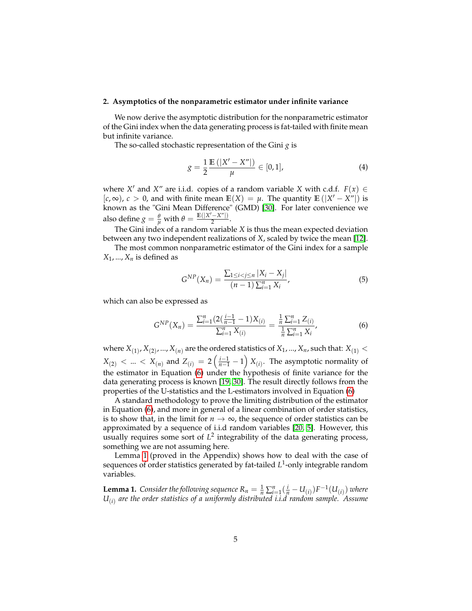#### <span id="page-4-1"></span>**2. Asymptotics of the nonparametric estimator under infinite variance**

We now derive the asymptotic distribution for the nonparametric estimator of the Gini index when the data generating process is fat-tailed with finite mean but infinite variance.

The so-called stochastic representation of the Gini *g* is

$$
g = \frac{1}{2} \frac{\mathbb{E}(|X' - X''|)}{\mu} \in [0, 1],
$$
 (4)

where *X'* and *X"* are i.i.d. copies of a random variable *X* with c.d.f.  $F(x) \in$  $[c, ∞)$ ,  $c > 0$ , and with finite mean  $\mathbb{E}(X) = \mu$ . The quantity  $\mathbb{E}(|X' - X''|)$  is known as the "Gini Mean Difference" (GMD) [\[30\]](#page-21-3). For later convenience we also define  $g = \frac{\theta}{\mu}$  with  $\theta = \frac{\mathbb{E}(|X' - X''|)}{2}$  $\frac{(-\Lambda)}{2}$ .

The Gini index of a random variable *X* is thus the mean expected deviation between any two independent realizations of *X*, scaled by twice the mean [\[12\]](#page-20-10).

The most common nonparametric estimator of the Gini index for a sample  $X_1$ , ...,  $X_n$  is defined as

<span id="page-4-0"></span>
$$
G^{NP}(X_n) = \frac{\sum_{1 \le i < j \le n} |X_i - X_j|}{(n-1) \sum_{i=1}^n X_i},\tag{5}
$$

which can also be expressed as

<span id="page-4-2"></span>
$$
G^{NP}(X_n) = \frac{\sum_{i=1}^{n} (2(\frac{i-1}{n-1} - 1)X_{(i)}}{\sum_{i=1}^{n} X_{(i)}} = \frac{\frac{1}{n}\sum_{i=1}^{n} Z_{(i)}}{\frac{1}{n}\sum_{i=1}^{n} X_i},
$$
(6)

where  $X_{(1)}$ ,  $X_{(2)}$ , ...,  $X_{(n)}$  are the ordered statistics of  $X_1$ , ...,  $X_n$ , such that:  $X_{(1)}$  <  $X_{(2)}$  < ... <  $X_{(n)}$  and  $Z_{(i)} = 2\left(\frac{i-1}{n-1} - 1\right)X_{(i)}$ . The asymptotic normality of the estimator in Equation [\(6\)](#page-4-2) under the hypothesis of finite variance for the data generating process is known [\[19,](#page-21-0) [30\]](#page-21-3). The result directly follows from the properties of the U-statistics and the L-estimators involved in Equation [\(6\)](#page-4-2)

A standard methodology to prove the limiting distribution of the estimator in Equation [\(6\)](#page-4-2), and more in general of a linear combination of order statistics, is to show that, in the limit for  $n \to \infty$ , the sequence of order statistics can be approximated by a sequence of i.i.d random variables [\[20,](#page-21-9) [5\]](#page-20-11). However, this usually requires some sort of  $L^2$  integrability of the data generating process, something we are not assuming here.

Lemma [1](#page-4-3) (proved in the Appendix) shows how to deal with the case of sequences of order statistics generated by fat-tailed *L* 1 -only integrable random variables.

<span id="page-4-3"></span>**Lemma 1.** Consider the following sequence  $R_n = \frac{1}{n} \sum_{i=1}^n (\frac{i}{n} - U_{(i)}) F^{-1}(U_{(i)})$  where *U*(*i*) *are the order statistics of a uniformly distributed i.i.d random sample. Assume*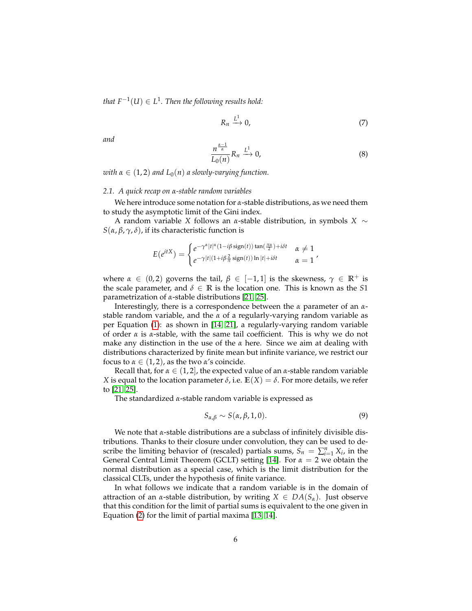*that*  $F^{-1}(U) ∈ L^1$ . Then the following results hold:

$$
R_n \xrightarrow{L^1} 0,\tag{7}
$$

*and*

$$
\frac{n^{\frac{\alpha-1}{\alpha}}}{L_0(n)} R_n \xrightarrow{L^1} 0, \tag{8}
$$

*with*  $\alpha \in (1, 2)$  *and*  $L_0(n)$  *a slowly-varying function.* 

#### *2.1. A quick recap on α-stable random variables*

We here introduce some notation for *α*-stable distributions, as we need them to study the asymptotic limit of the Gini index.

A random variable *X* follows an *α*-stable distribution, in symbols *X* ∼ *S*(*α*, *β*, *γ*, *δ*), if its characteristic function is

$$
E(e^{itX}) = \begin{cases} e^{-\gamma^{\alpha}|t|^{\alpha}(1-i\beta \operatorname{sign}(t))\tan(\frac{\pi\alpha}{2})+i\delta t} & \alpha \neq 1\\ e^{-\gamma|t|(1+i\beta\frac{2}{\pi}\operatorname{sign}(t))\ln|t|+i\delta t} & \alpha = 1 \end{cases},
$$

where  $\alpha \in (0, 2)$  governs the tail,  $\beta \in [-1, 1]$  is the skewness,  $\gamma \in \mathbb{R}^+$  is the scale parameter, and  $\delta \in \mathbb{R}$  is the location one. This is known as the *S*1 parametrization of *α*-stable distributions [\[21,](#page-21-10) [25\]](#page-21-11).

Interestingly, there is a correspondence between the *α* parameter of an *α*stable random variable, and the *α* of a regularly-varying random variable as per Equation [\(1\)](#page-1-1): as shown in [\[14,](#page-20-9) [21\]](#page-21-10), a regularly-varying random variable of order *α* is *α*-stable, with the same tail coefficient. This is why we do not make any distinction in the use of the *α* here. Since we aim at dealing with distributions characterized by finite mean but infinite variance, we restrict our focus to  $\alpha \in (1, 2)$ , as the two  $\alpha$ 's coincide.

Recall that, for  $\alpha \in (1, 2]$ , the expected value of an  $\alpha$ -stable random variable *X* is equal to the location parameter  $\delta$ , i.e.  $\mathbb{E}(X) = \delta$ . For more details, we refer to [\[21,](#page-21-10) [25\]](#page-21-11).

The standardized *α*-stable random variable is expressed as

<span id="page-5-0"></span>
$$
S_{\alpha,\beta} \sim S(\alpha,\beta,1,0). \tag{9}
$$

We note that *α*-stable distributions are a subclass of infinitely divisible distributions. Thanks to their closure under convolution, they can be used to describe the limiting behavior of (rescaled) partials sums,  $\dot{S}_n = \sum_{i=1}^n X_i$ , in the General Central Limit Theorem (GCLT) setting [\[14\]](#page-20-9). For *α* = 2 we obtain the normal distribution as a special case, which is the limit distribution for the classical CLTs, under the hypothesis of finite variance.

In what follows we indicate that a random variable is in the domain of attraction of an *α*-stable distribution, by writing  $X \in DA(S_\alpha)$ . Just observe that this condition for the limit of partial sums is equivalent to the one given in Equation [\(2\)](#page-2-1) for the limit of partial maxima [\[13,](#page-20-1) [14\]](#page-20-9).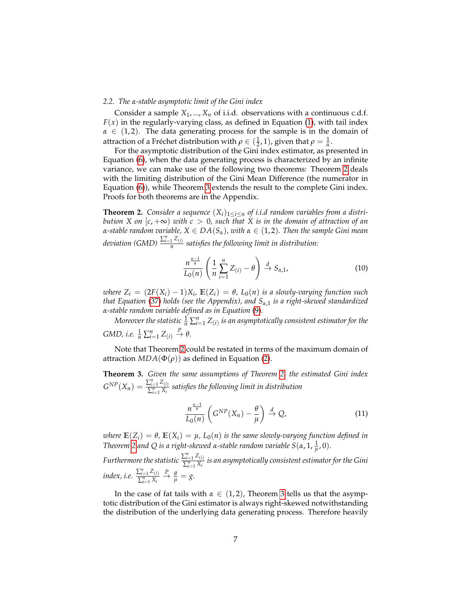## *2.2. The α-stable asymptotic limit of the Gini index*

Consider a sample  $X_1, ..., X_n$  of i.i.d. observations with a continuous c.d.f.  $F(x)$  in the regularly-varying class, as defined in Equation [\(1\)](#page-1-1), with tail index  $\alpha \in (1, 2)$ . The data generating process for the sample is in the domain of attraction of a Fréchet distribution with *ρ* ∈ ( $\frac{1}{2}$ , 1), given that *ρ* =  $\frac{1}{\alpha}$ .

For the asymptotic distribution of the Gini index estimator, as presented in Equation [\(6\)](#page-4-2), when the data generating process is characterized by an infinite variance, we can make use of the following two theorems: Theorem [2](#page-6-0) deals with the limiting distribution of the Gini Mean Difference (the numerator in Equation [\(6\)](#page-4-2)), while Theorem [3](#page-6-1) extends the result to the complete Gini index. Proofs for both theorems are in the Appendix.

<span id="page-6-0"></span>**Theorem 2.** *Consider a sequence*  $(X_i)_{1 \leq i \leq n}$  *of i.i.d random variables from a distribution X on*  $[c, +\infty)$  *with*  $c > 0$ *, such that X is in the domain of attraction of an α*-stable random variable,  $X \in DA(S_\alpha)$ , with  $\alpha \in (1, 2)$ . Then the sample Gini mean *deviation* (GMD)  $\frac{\sum_{i=1}^{n} Z_{(i)}}{n}$ *n satisfies the following limit in distribution:*

<span id="page-6-3"></span>
$$
\frac{n^{\frac{\alpha-1}{\alpha}}}{L_0(n)} \left( \frac{1}{n} \sum_{i=1}^n Z_{(i)} - \theta \right) \stackrel{d}{\to} S_{\alpha,1},\tag{10}
$$

*where*  $Z_i = (2F(X_i) - 1)X_i$ ,  $E(Z_i) = \theta$ ,  $L_0(n)$  *is a slowly-varying function such that Equation* [\(37\)](#page-18-0) *holds (see the Appendix), and Sα*,1 *is a right-skewed standardized α-stable random variable defined as in Equation* [\(9\)](#page-5-0)*.*

Moreover the statistic  $\frac{1}{n}\sum_{i=1}^n Z_{(i)}$  is an asymptotically consistent estimator for the  $GMD$ , *i.e.*  $\frac{1}{n} \sum_{i=1}^{n} Z_{(i)} \stackrel{P}{\to} \theta$ .

Note that Theorem [2](#page-6-0) could be restated in terms of the maximum domain of attraction  $MDA(\Phi(\rho))$  as defined in Equation [\(2\)](#page-2-1).

<span id="page-6-1"></span>**Theorem 3.** *Given the same assumptions of Theorem [2,](#page-6-0) the estimated Gini index*  $G^{NP}(X_n) = \frac{\sum_{i=1}^{n} Z_{(i)}}{\sum_{i=1}^{n} X_i}$ ∑ *n <sup>i</sup>*=<sup>1</sup> *X<sup>i</sup> satisfies the following limit in distribution*

<span id="page-6-2"></span>
$$
\frac{n^{\frac{\alpha-1}{\alpha}}}{L_0(n)}\left(G^{NP}(X_n)-\frac{\theta}{\mu}\right)\stackrel{d}{\to}Q,\tag{11}
$$

*where*  $\mathbb{E}(Z_i) = \theta$ ,  $\mathbb{E}(X_i) = \mu$ ,  $L_0(n)$  *is the same slowly-varying function defined in Theorem* [2](#page-6-0) *and* Q *is a right-skewed α*-stable random variable  $S(\alpha, 1, \frac{1}{\mu}, 0)$ *.* 

*Furthermore the statistic*  $\frac{\sum_{i=1}^{n} Z_{(i)}}{\sum_{i=1}^{n} X_{(i)}}$ ∑ *n <sup>i</sup>*=<sup>1</sup> *X<sup>i</sup> is an asymptotically consistent estimator for the Gini index, i.e.*  $\frac{\sum_{i=1}^{n} Z_{(i)}}{\sum_{i=1}^{n} X_{(i)}}$  $\sum_{i=1}^n X_i$  $\stackrel{P}{\rightarrow} \frac{\theta}{\mu} = g.$ 

In the case of fat tails with  $\alpha \in (1,2)$ , Theorem [3](#page-6-1) tells us that the asymptotic distribution of the Gini estimator is always right-skewed notwithstanding the distribution of the underlying data generating process. Therefore heavily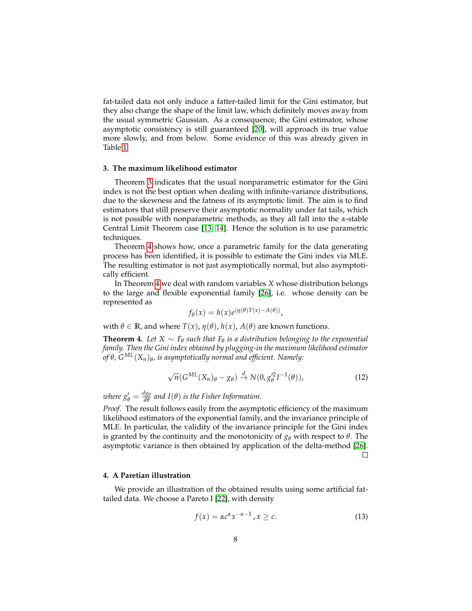fat-tailed data not only induce a fatter-tailed limit for the Gini estimator, but they also change the shape of the limit law, which definitely moves away from the usual symmetric Gaussian. As a consequence, the Gini estimator, whose asymptotic consistency is still guaranteed [\[20\]](#page-21-9), will approach its true value more slowly, and from below. Some evidence of this was already given in Table [1.](#page-3-0)

#### <span id="page-7-1"></span>**3. The maximum likelihood estimator**

Theorem [3](#page-6-1) indicates that the usual nonparametric estimator for the Gini index is not the best option when dealing with infinite-variance distributions, due to the skewness and the fatness of its asymptotic limit. The aim is to find estimators that still preserve their asymptotic normality under fat tails, which is not possible with nonparametric methods, as they all fall into the *α*-stable Central Limit Theorem case [\[13,](#page-20-1) [14\]](#page-20-9). Hence the solution is to use parametric techniques.

Theorem [4](#page-7-3) shows how, once a parametric family for the data generating process has been identified, it is possible to estimate the Gini index via MLE. The resulting estimator is not just asymptotically normal, but also asymptotically efficient.

In Theorem [4](#page-7-3) we deal with random variables *X* whose distribution belongs to the large and flexible exponential family [\[26\]](#page-21-12), i.e. whose density can be represented as

$$
f_{\theta}(x) = h(x)e^{(\eta(\theta)T(x)-A(\theta))},
$$

with *θ* ∈ **R**, and where *T*(*x*), *η*(*θ*), *h*(*x*), *A*(*θ*) are known functions.

<span id="page-7-3"></span>**Theorem 4.** Let  $X \sim F_{\theta}$  such that  $F_{\theta}$  is a distribution belonging to the exponential *family. Then the Gini index obtained by plugging-in the maximum likelihood estimator of θ, GML*(*Xn*)*<sup>θ</sup> , is asymptotically normal and efficient. Namely:*

$$
\sqrt{n}(G^{ML}(X_n)_{\theta}-g_{\theta})\stackrel{d}{\to}N(0,g_{\theta}^{\prime 2}I^{-1}(\theta)),\qquad(12)
$$

*where*  $g_{\theta}' = \frac{dg_{\theta}}{d\theta}$  and  $I(\theta)$  is the Fisher Information.

*Proof.* The result follows easily from the asymptotic efficiency of the maximum likelihood estimators of the exponential family, and the invariance principle of MLE. In particular, the validity of the invariance principle for the Gini index is granted by the continuity and the monotonicity of *g<sup>θ</sup>* with respect to *θ*. The asymptotic variance is then obtained by application of the delta-method [\[26\]](#page-21-12).  $\Box$ 

# <span id="page-7-2"></span>**4. A Paretian illustration**

We provide an illustration of the obtained results using some artificial fattailed data. We choose a Pareto I [\[22\]](#page-21-1), with density

<span id="page-7-0"></span>
$$
f(x) = \alpha c^{\alpha} x^{-\alpha - 1}, x \ge c.
$$
 (13)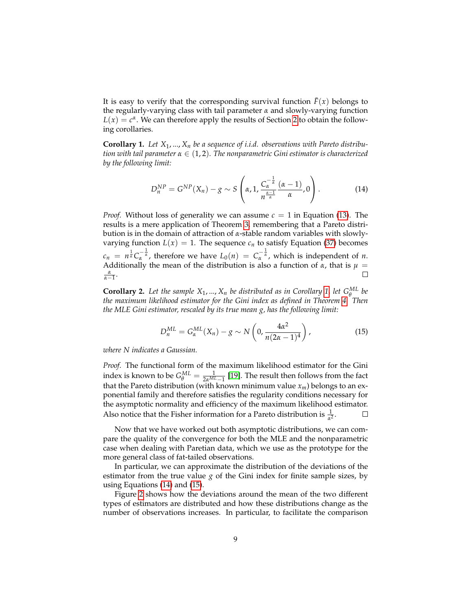It is easy to verify that the corresponding survival function  $\bar{F}(x)$  belongs to the regularly-varying class with tail parameter *α* and slowly-varying function  $L(x) = c^{\alpha}$ . We can therefore apply the results of Section [2](#page-4-1) to obtain the following corollaries.

<span id="page-8-0"></span>**Corollary 1.** *Let X*1, ..., *X<sup>n</sup> be a sequence of i.i.d. observations with Pareto distribution with tail parameter α* ∈ (1, 2)*. The nonparametric Gini estimator is characterized by the following limit:*

<span id="page-8-1"></span>
$$
D_n^{NP} = G^{NP}(X_n) - g \sim S\left(\alpha, 1, \frac{C_\alpha^{-\frac{1}{\alpha}}}{n^{\frac{\alpha-1}{\alpha}}} \frac{(\alpha-1)}{\alpha}, 0\right).
$$
 (14)

*Proof.* Without loss of generality we can assume  $c = 1$  in Equation [\(13\)](#page-7-0). The results is a mere application of Theorem [3,](#page-6-1) remembering that a Pareto distribution is in the domain of attraction of *α*-stable random variables with slowlyvarying function  $L(x) = 1$ . The sequence  $c_n$  to satisfy Equation [\(37\)](#page-18-0) becomes  $c_n = n^{\frac{1}{\alpha}} C_{\alpha}^{-\frac{1}{\alpha}}$ , therefore we have  $L_0(n) = C_{\alpha}^{-\frac{1}{\alpha}}$ , which is independent of *n*. Additionally the mean of the distribution is also a function of  $\alpha$ , that is  $\mu =$  $\frac{\alpha}{\alpha-1}$ .  $\Box$ 

**Corollary 2.** Let the sample  $X_1, ..., X_n$  be distributed as in Corollary [1,](#page-8-0) let  $G_A^{ML}$  be *the maximum likelihood estimator for the Gini index as defined in Theorem [4.](#page-7-3) Then the MLE Gini estimator, rescaled by its true mean g, has the following limit:*

<span id="page-8-2"></span>
$$
D_n^{ML} = G_{\alpha}^{ML}(X_n) - g \sim N\left(0, \frac{4\alpha^2}{n(2\alpha - 1)^4}\right),
$$
 (15)

*where N indicates a Gaussian.*

*Proof.* The functional form of the maximum likelihood estimator for the Gini index is known to be  $G_{\theta}^{ML} = \frac{1}{2\alpha^{ML}-1}$  [\[19\]](#page-21-0). The result then follows from the fact that the Pareto distribution (with known minimum value *xm*) belongs to an exponential family and therefore satisfies the regularity conditions necessary for the asymptotic normality and efficiency of the maximum likelihood estimator. Also notice that the Fisher information for a Pareto distribution is  $\frac{1}{\alpha^2}$ .  $\Box$ 

Now that we have worked out both asymptotic distributions, we can compare the quality of the convergence for both the MLE and the nonparametric case when dealing with Paretian data, which we use as the prototype for the more general class of fat-tailed observations.

In particular, we can approximate the distribution of the deviations of the estimator from the true value  $g$  of the Gini index for finite sample sizes, by using Equations [\(14\)](#page-8-1) and [\(15\)](#page-8-2).

Figure [2](#page-9-0) shows how the deviations around the mean of the two different types of estimators are distributed and how these distributions change as the number of observations increases. In particular, to facilitate the comparison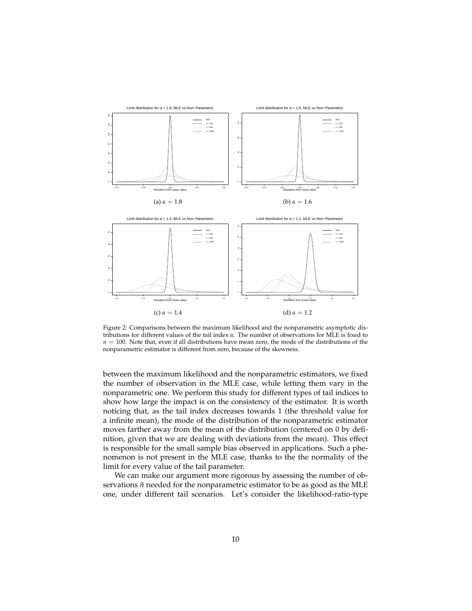<span id="page-9-0"></span>

Figure 2: Comparisons between the maximum likelihood and the nonparametric asymptotic distributions for different values of the tail index *α*. The number of observations for MLE is fixed to  $n = 100$ . Note that, even if all distributions have mean zero, the mode of the distributions of the nonparametric estimator is different from zero, because of the skewness.

between the maximum likelihood and the nonparametric estimators, we fixed the number of observation in the MLE case, while letting them vary in the nonparametric one. We perform this study for different types of tail indices to show how large the impact is on the consistency of the estimator. It is worth noticing that, as the tail index decreases towards 1 (the threshold value for a infinite mean), the mode of the distribution of the nonparametric estimator moves farther away from the mean of the distribution (centered on 0 by definition, given that we are dealing with deviations from the mean). This effect is responsible for the small sample bias observed in applications. Such a phenomenon is not present in the MLE case, thanks to the the normality of the limit for every value of the tail parameter.

We can make our argument more rigorous by assessing the number of observations  $\tilde{n}$  needed for the nonparametric estimator to be as good as the MLE one, under different tail scenarios. Let's consider the likelihood-ratio-type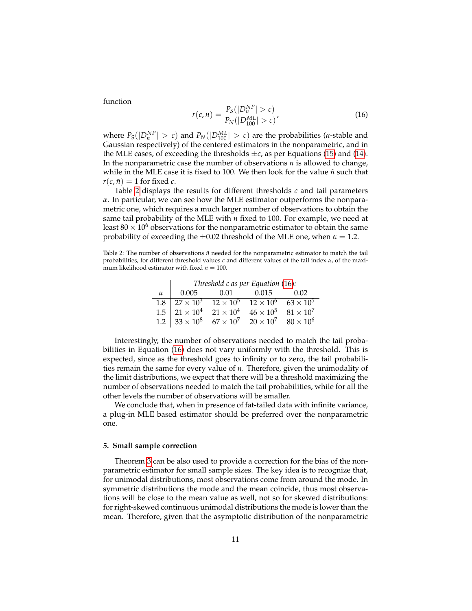function

<span id="page-10-2"></span>
$$
r(c,n) = \frac{P_S(|D_n^{NP}| > c)}{P_N(|D_{100}^{ML}| > c)},
$$
\n(16)

where  $P_S(|D_n^{NP}| > c)$  and  $P_N(|D_{100}^{ML}| > c)$  are the probabilities (*α*-stable and Gaussian respectively) of the centered estimators in the nonparametric, and in the MLE cases, of exceeding the thresholds  $\pm c$ , as per Equations [\(15\)](#page-8-2) and [\(14\)](#page-8-1). In the nonparametric case the number of observations *n* is allowed to change, while in the MLE case it is fixed to 100. We then look for the value  $\tilde{n}$  such that  $r(c, \tilde{n}) = 1$  for fixed *c*.

Table [2](#page-10-1) displays the results for different thresholds *c* and tail parameters *α*. In particular, we can see how the MLE estimator outperforms the nonparametric one, which requires a much larger number of observations to obtain the same tail probability of the MLE with *n* fixed to 100. For example, we need at least  $80 \times 10^6$  observations for the nonparametric estimator to obtain the same probability of exceeding the  $\pm 0.02$  threshold of the MLE one, when  $\alpha = 1.2$ .

<span id="page-10-1"></span>Table 2: The number of observations  $\tilde{n}$  needed for the nonparametric estimator to match the tail probabilities, for different threshold values *c* and different values of the tail index *α*, of the maximum likelihood estimator with fixed  $n = 100$ .

| Threshold $c$ as per Equation (16): |  |                                                                                                                                                                                                               |  |  |  |  |  |
|-------------------------------------|--|---------------------------------------------------------------------------------------------------------------------------------------------------------------------------------------------------------------|--|--|--|--|--|
|                                     |  | $\alpha$ 0.005 0.01 0.015 0.02                                                                                                                                                                                |  |  |  |  |  |
|                                     |  |                                                                                                                                                                                                               |  |  |  |  |  |
|                                     |  | $\begin{array}{ c c c c c c } \hline 1.8 & 27\times 10^3 & 12\times 10^5 & 12\times 10^6 & 63\times 10^5 \\ \hline 1.5 & 21\times 10^4 & 21\times 10^4 & 46\times 10^5 & 81\times 10^7 \\ \hline \end{array}$ |  |  |  |  |  |
|                                     |  | 1.2 $33 \times 10^8$ $67 \times 10^7$ $20 \times 10^7$ $80 \times 10^6$                                                                                                                                       |  |  |  |  |  |

Interestingly, the number of observations needed to match the tail probabilities in Equation [\(16\)](#page-10-2) does not vary uniformly with the threshold. This is expected, since as the threshold goes to infinity or to zero, the tail probabilities remain the same for every value of *n*. Therefore, given the unimodality of the limit distributions, we expect that there will be a threshold maximizing the number of observations needed to match the tail probabilities, while for all the other levels the number of observations will be smaller.

We conclude that, when in presence of fat-tailed data with infinite variance, a plug-in MLE based estimator should be preferred over the nonparametric one.

#### <span id="page-10-0"></span>**5. Small sample correction**

Theorem [3](#page-6-1) can be also used to provide a correction for the bias of the nonparametric estimator for small sample sizes. The key idea is to recognize that, for unimodal distributions, most observations come from around the mode. In symmetric distributions the mode and the mean coincide, thus most observations will be close to the mean value as well, not so for skewed distributions: for right-skewed continuous unimodal distributions the mode is lower than the mean. Therefore, given that the asymptotic distribution of the nonparametric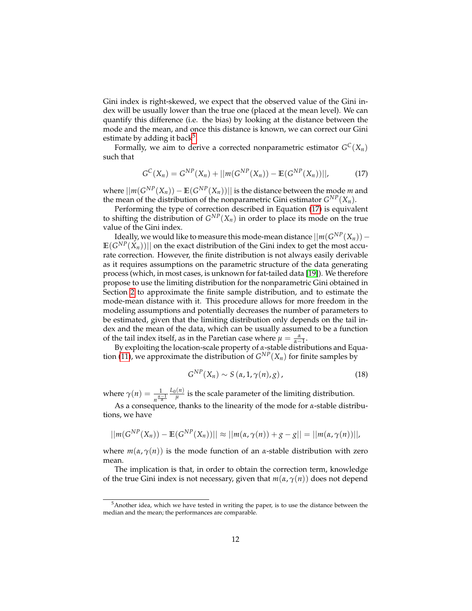Gini index is right-skewed, we expect that the observed value of the Gini index will be usually lower than the true one (placed at the mean level). We can quantify this difference (i.e. the bias) by looking at the distance between the mode and the mean, and once this distance is known, we can correct our Gini estimate by adding it back<sup>[5](#page-11-0)</sup>.

Formally, we aim to derive a corrected nonparametric estimator  $G^C(X_n)$ such that

<span id="page-11-1"></span>
$$
G^{C}(X_{n}) = G^{NP}(X_{n}) + ||m(G^{NP}(X_{n})) - \mathbb{E}(G^{NP}(X_{n}))||, \qquad (17)
$$

where  $||m(G^{NP}(X_n)) - \mathbb{E}(G^{NP}(X_n))||$  is the distance between the mode  $m$  and the mean of the distribution of the nonparametric Gini estimator  $G^{NP}(X_n)$ .

Performing the type of correction described in Equation [\(17\)](#page-11-1) is equivalent to shifting the distribution of  $G^{NP}(X_n)$  in order to place its mode on the true value of the Gini index.

Ideally, we would like to measure this mode-mean distance  $||m(G^{NP}(X_n)) \mathbb{E}(G^{NP}(X_n))||$  on the exact distribution of the Gini index to get the most accurate correction. However, the finite distribution is not always easily derivable as it requires assumptions on the parametric structure of the data generating process (which, in most cases, is unknown for fat-tailed data [\[19\]](#page-21-0)). We therefore propose to use the limiting distribution for the nonparametric Gini obtained in Section [2](#page-4-1) to approximate the finite sample distribution, and to estimate the mode-mean distance with it. This procedure allows for more freedom in the modeling assumptions and potentially decreases the number of parameters to be estimated, given that the limiting distribution only depends on the tail index and the mean of the data, which can be usually assumed to be a function of the tail index itself, as in the Paretian case where  $\mu = \frac{\alpha}{\alpha - 1}$ .

By exploiting the location-scale property of *α*-stable distributions and Equa-tion [\(11\)](#page-6-2), we approximate the distribution of  $G^{NP}(X_n)$  for finite samples by

<span id="page-11-2"></span>
$$
G^{NP}(X_n) \sim S(\alpha, 1, \gamma(n), g), \qquad (18)
$$

where  $\gamma(n) = \frac{1}{n^{\frac{\alpha-1}{\alpha}}}$ *L*0(*n*)  $\frac{n}{\mu}$  is the scale parameter of the limiting distribution.

As a consequence, thanks to the linearity of the mode for *α*-stable distributions, we have

$$
||m(G^{NP}(X_n)) - \mathbb{E}(G^{NP}(X_n))|| \approx ||m(\alpha, \gamma(n)) + g - g|| = ||m(\alpha, \gamma(n))||,
$$

where  $m(\alpha, \gamma(n))$  is the mode function of an *α*-stable distribution with zero mean.

The implication is that, in order to obtain the correction term, knowledge of the true Gini index is not necessary, given that *m*(*α*, *γ*(*n*)) does not depend

<span id="page-11-0"></span><sup>&</sup>lt;sup>5</sup>Another idea, which we have tested in writing the paper, is to use the distance between the median and the mean; the performances are comparable.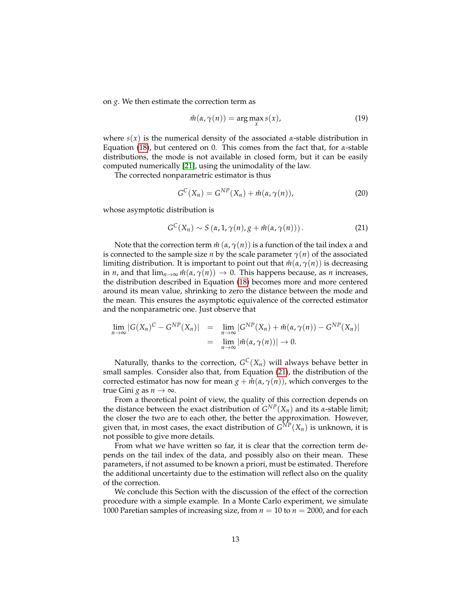on *g*. We then estimate the correction term as

$$
\hat{m}(\alpha, \gamma(n)) = \arg\max_{x} s(x),\tag{19}
$$

where  $s(x)$  is the numerical density of the associated  $\alpha$ -stable distribution in Equation [\(18\)](#page-11-2), but centered on 0. This comes from the fact that, for *α*-stable distributions, the mode is not available in closed form, but it can be easily computed numerically [\[21\]](#page-21-10), using the unimodality of the law.

The corrected nonparametric estimator is thus

$$
G^{C}(X_{n}) = G^{NP}(X_{n}) + \hat{m}(\alpha, \gamma(n)), \qquad (20)
$$

whose asymptotic distribution is

<span id="page-12-0"></span>
$$
G^{C}(X_{n}) \sim S\left(\alpha, 1, \gamma(n), g + \hat{m}(\alpha, \gamma(n))\right). \tag{21}
$$

Note that the correction term *m*ˆ (*α*, *γ*(*n*)) is a function of the tail index *α* and is connected to the sample size *n* by the scale parameter  $\gamma(n)$  of the associated limiting distribution. It is important to point out that  $m(\alpha, \gamma(n))$  is decreasing in *n*, and that  $\lim_{n\to\infty}$   $\hat{m}(\alpha, \gamma(n)) \to 0$ . This happens because, as *n* increases, the distribution described in Equation [\(18\)](#page-11-2) becomes more and more centered around its mean value, shrinking to zero the distance between the mode and the mean. This ensures the asymptotic equivalence of the corrected estimator and the nonparametric one. Just observe that

$$
\lim_{n \to \infty} |G(X_n)^C - G^{NP}(X_n)| = \lim_{n \to \infty} |G^{NP}(X_n) + \hat{m}(\alpha, \gamma(n)) - G^{NP}(X_n)|
$$
  
= 
$$
\lim_{n \to \infty} |\hat{m}(\alpha, \gamma(n))| \to 0.
$$

Naturally, thanks to the correction,  $G^C(X_n)$  will always behave better in small samples. Consider also that, from Equation [\(21\)](#page-12-0), the distribution of the corrected estimator has now for mean  $g + \hat{m}(\alpha, \gamma(n))$ , which converges to the true Gini *g* as  $n \to \infty$ .

From a theoretical point of view, the quality of this correction depends on the distance between the exact distribution of  $G^{NP}(X_n)$  and its *α*-stable limit; the closer the two are to each other, the better the approximation. However, given that, in most cases, the exact distribution of  $G^{NP}(X_n)$  is unknown, it is not possible to give more details.

From what we have written so far, it is clear that the correction term depends on the tail index of the data, and possibly also on their mean. These parameters, if not assumed to be known a priori, must be estimated. Therefore the additional uncertainty due to the estimation will reflect also on the quality of the correction.

We conclude this Section with the discussion of the effect of the correction procedure with a simple example. In a Monte Carlo experiment, we simulate 1000 Paretian samples of increasing size, from  $n = 10$  to  $n = 2000$ , and for each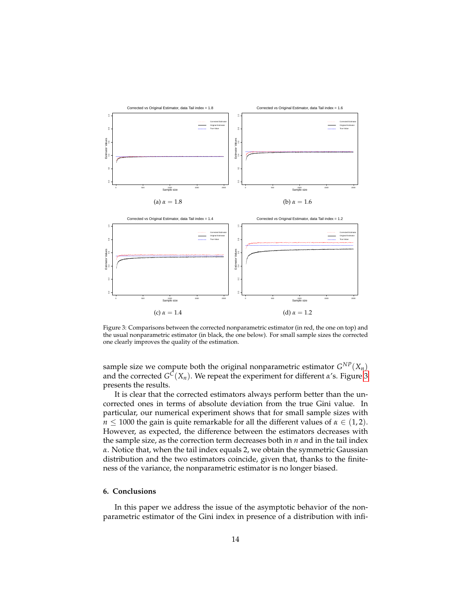<span id="page-13-1"></span>

Figure 3: Comparisons between the corrected nonparametric estimator (in red, the one on top) and the usual nonparametric estimator (in black, the one below). For small sample sizes the corrected one clearly improves the quality of the estimation.

sample size we compute both the original nonparametric estimator  $G^{NP}(X_n)$ and the corrected *G <sup>C</sup>*(*Xn*). We repeat the experiment for different *α*'s. Figure [3](#page-13-1) presents the results.

It is clear that the corrected estimators always perform better than the uncorrected ones in terms of absolute deviation from the true Gini value. In particular, our numerical experiment shows that for small sample sizes with *n*  $\leq$  1000 the gain is quite remarkable for all the different values of  $\alpha \in (1,2)$ . However, as expected, the difference between the estimators decreases with the sample size, as the correction term decreases both in *n* and in the tail index *α*. Notice that, when the tail index equals 2, we obtain the symmetric Gaussian distribution and the two estimators coincide, given that, thanks to the finiteness of the variance, the nonparametric estimator is no longer biased.

## <span id="page-13-0"></span>**6. Conclusions**

In this paper we address the issue of the asymptotic behavior of the nonparametric estimator of the Gini index in presence of a distribution with infi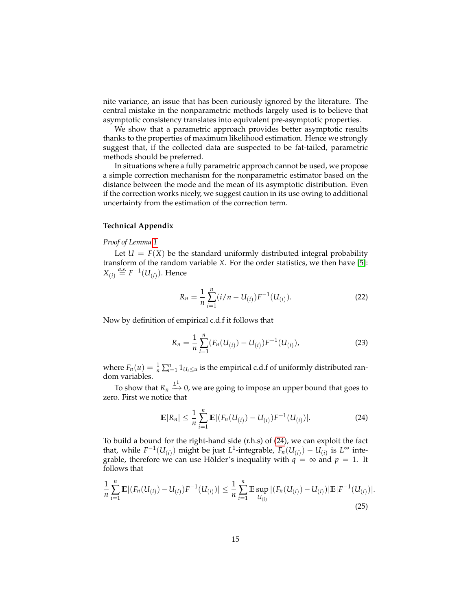nite variance, an issue that has been curiously ignored by the literature. The central mistake in the nonparametric methods largely used is to believe that asymptotic consistency translates into equivalent pre-asymptotic properties.

We show that a parametric approach provides better asymptotic results thanks to the properties of maximum likelihood estimation. Hence we strongly suggest that, if the collected data are suspected to be fat-tailed, parametric methods should be preferred.

In situations where a fully parametric approach cannot be used, we propose a simple correction mechanism for the nonparametric estimator based on the distance between the mode and the mean of its asymptotic distribution. Even if the correction works nicely, we suggest caution in its use owing to additional uncertainty from the estimation of the correction term.

# **Technical Appendix**

## *Proof of Lemma [1](#page-4-3)*

Let  $U = F(X)$  be the standard uniformly distributed integral probability transform of the random variable *X*. For the order statistics, we then have [\[5\]](#page-20-11):  $X_{(i)} \stackrel{a.s.}{=} F^{-1}(U_{(i)})$ . Hence

$$
R_n = \frac{1}{n} \sum_{i=1}^n (i/n - U_{(i)}) F^{-1}(U_{(i)}).
$$
 (22)

Now by definition of empirical c.d.f it follows that

$$
R_n = \frac{1}{n} \sum_{i=1}^n (F_n(U_{(i)}) - U_{(i)}) F^{-1}(U_{(i)}),
$$
\n(23)

where  $F_n(u) = \frac{1}{n} \sum_{i=1}^n 1_{U_i \le u}$  is the empirical c.d.f of uniformly distributed random variables.

To show that  $R_n \xrightarrow{L^1} 0$ , we are going to impose an upper bound that goes to zero. First we notice that

<span id="page-14-0"></span>
$$
\mathbb{E}|R_n| \leq \frac{1}{n} \sum_{i=1}^n \mathbb{E}|(F_n(U_{(i)}) - U_{(i)})F^{-1}(U_{(i)})|.
$$
 (24)

To build a bound for the right-hand side (r.h.s) of [\(24\)](#page-14-0), we can exploit the fact that, while  $F^{-1}(U_{(i)})$  might be just  $L^1$ -integrable,  $F_n(U_{(i)}) - U_{(i)}$  is  $L^\infty$  integrable, therefore we can use Hölder's inequality with  $q = \infty$  and  $p = 1$ . It follows that

$$
\frac{1}{n}\sum_{i=1}^{n}\mathbb{E}|(F_n(U_{(i)}) - U_{(i)})F^{-1}(U_{(i)})| \le \frac{1}{n}\sum_{i=1}^{n}\mathbb{E}\sup_{U_{(i)}}|(F_n(U_{(i)}) - U_{(i)})|\mathbb{E}|F^{-1}(U_{(i)})|.
$$
\n(25)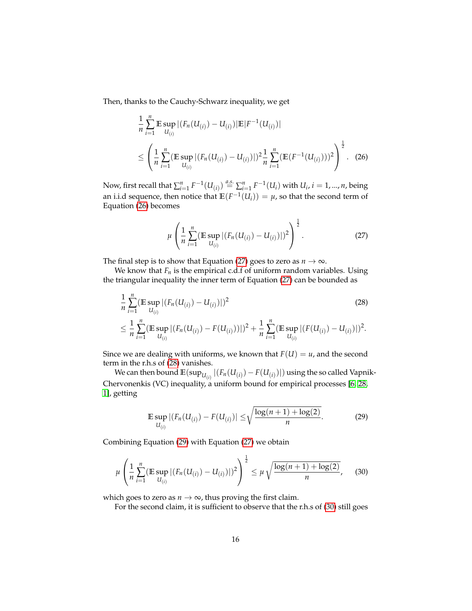Then, thanks to the Cauchy-Schwarz inequality, we get

<span id="page-15-0"></span>
$$
\frac{1}{n} \sum_{i=1}^{n} \mathbb{E} \sup_{U_{(i)}} |(F_n(U_{(i)}) - U_{(i)})| \mathbb{E}|F^{-1}(U_{(i)})|
$$
\n
$$
\leq \left(\frac{1}{n} \sum_{i=1}^{n} (\mathbb{E} \sup_{U_{(i)}} |(F_n(U_{(i)}) - U_{(i)})|)^2 \frac{1}{n} \sum_{i=1}^{n} (\mathbb{E}(F^{-1}(U_{(i)})))^2\right)^{\frac{1}{2}}.
$$
\n(26)

Now, first recall that  $\sum_{i=1}^n F^{-1}(U_{(i)}) \stackrel{a.s.}{=} \sum_{i=1}^n F^{-1}(U_i)$  with  $U_i$ ,  $i = 1, ..., n$ , being an i.i.d sequence, then notice that  $\mathbb{E}(F^{-1}(U_i)) = \mu$ , so that the second term of Equation [\(26\)](#page-15-0) becomes

<span id="page-15-1"></span>
$$
\mu\left(\frac{1}{n}\sum_{i=1}^{n}(\mathbb{E}\sup_{U_{(i)}}|(F_n(U_{(i)})-U_{(i)})|)^2\right)^{\frac{1}{2}}.
$$
\n(27)

 $U_{(i)}$ 

The final step is to show that Equation [\(27\)](#page-15-1) goes to zero as  $n \to \infty$ .

We know that  $F_n$  is the empirical c.d.f of uniform random variables. Using the triangular inequality the inner term of Equation [\(27\)](#page-15-1) can be bounded as

<span id="page-15-2"></span>
$$
\frac{1}{n}\sum_{i=1}^{n} (\mathbb{E}\sup_{U_{(i)}} |(F_n(U_{(i)}) - U_{(i)})|)^2
$$
\n
$$
\leq \frac{1}{n}\sum_{i=1}^{n} (\mathbb{E}\sup_{U_{(i)}} |(F_n(U_{(i)}) - F(U_{(i)}))|)^2 + \frac{1}{n}\sum_{i=1}^{n} (\mathbb{E}\sup_{U_{(i)}} |(F(U_{(i)}) - U_{(i)})|)^2.
$$
\n(28)

Since we are dealing with uniforms, we known that  $F(U) = u$ , and the second term in the r.h.s of [\(28\)](#page-15-2) vanishes.

We can then bound  $\mathbb{E}(\sup_{U_{(i)}}|(F_n(U_{(i)})-F(U_{(i)})|)$  using the so called Vapnik-Chervonenkis (VC) inequality, a uniform bound for empirical processes [\[6,](#page-20-12) [28,](#page-21-13) [1\]](#page-20-13), getting

<span id="page-15-3"></span>
$$
\mathbb{E}\sup_{U_{(i)}}|(F_n(U_{(i)})-F(U_{(i)})|\leq\sqrt{\frac{\log(n+1)+\log(2)}{n}}.\tag{29}
$$

Combining Equation [\(29\)](#page-15-3) with Equation [\(27\)](#page-15-1) we obtain

 $U_{(i)}$ 

<span id="page-15-4"></span>
$$
\mu\left(\frac{1}{n}\sum_{i=1}^n(\mathbb{E}\sup_{U_{(i)}}|(F_n(U_{(i)})-U_{(i)})|)^2\right)^{\frac{1}{2}}\leq\mu\sqrt{\frac{\log(n+1)+\log(2)}{n}},\quad(30)
$$

which goes to zero as  $n \to \infty$ , thus proving the first claim.

For the second claim, it is sufficient to observe that the r.h.s of [\(30\)](#page-15-4) still goes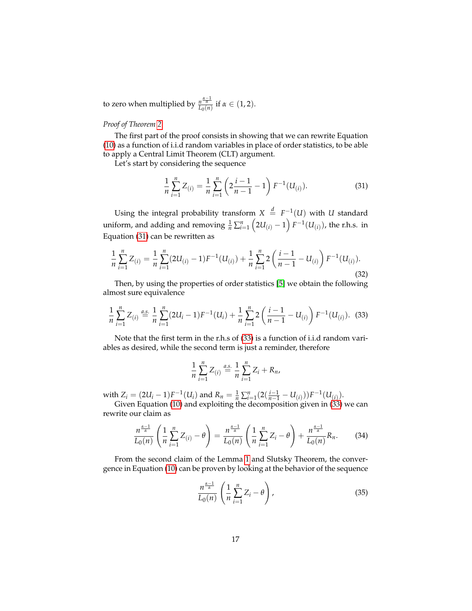to zero when multiplied by  $\frac{n^{\frac{\alpha-1}{\alpha}}}{L_0(n)}$  if  $\alpha \in (1, 2)$ .

# *Proof of Theorem [2](#page-6-0)*

The first part of the proof consists in showing that we can rewrite Equation [\(10\)](#page-6-3) as a function of i.i.d random variables in place of order statistics, to be able to apply a Central Limit Theorem (CLT) argument.

Let's start by considering the sequence

<span id="page-16-0"></span>
$$
\frac{1}{n}\sum_{i=1}^{n}Z_{(i)}=\frac{1}{n}\sum_{i=1}^{n}\left(2\frac{i-1}{n-1}-1\right)F^{-1}(U_{(i)}).
$$
\n(31)

Using the integral probability transform  $X \stackrel{d}{=} F^{-1}(U)$  with *U* standard uniform, and adding and removing  $\frac{1}{n} \sum_{i=1}^{n} (2U_{(i)} - 1) F^{-1}(U_{(i)})$ , the r.h.s. in Equation [\(31\)](#page-16-0) can be rewritten as

$$
\frac{1}{n}\sum_{i=1}^{n}Z_{(i)}=\frac{1}{n}\sum_{i=1}^{n}(2U_{(i)}-1)F^{-1}(U_{(i)})+\frac{1}{n}\sum_{i=1}^{n}2\left(\frac{i-1}{n-1}-U_{(i)}\right)F^{-1}(U_{(i)}).
$$
\n(32)

Then, by using the properties of order statistics [\[5\]](#page-20-11) we obtain the following almost sure equivalence

<span id="page-16-1"></span>
$$
\frac{1}{n}\sum_{i=1}^{n}Z_{(i)} \stackrel{a.s.}{=} \frac{1}{n}\sum_{i=1}^{n}(2U_i - 1)F^{-1}(U_i) + \frac{1}{n}\sum_{i=1}^{n}2\left(\frac{i-1}{n-1} - U_{(i)}\right)F^{-1}(U_{(i)}).
$$
 (33)

Note that the first term in the r.h.s of [\(33\)](#page-16-1) is a function of i.i.d random variables as desired, while the second term is just a reminder, therefore

$$
\frac{1}{n}\sum_{i=1}^n Z_{(i)} \stackrel{a.s.}{=} \frac{1}{n}\sum_{i=1}^n Z_i + R_n,
$$

with  $Z_i = (2U_i - 1)F^{-1}(U_i)$  and  $R_n = \frac{1}{n} \sum_{i=1}^n (2(\frac{i-1}{n-1} - U_{(i)}))F^{-1}(U_{(i)})$ .

Given Equation [\(10\)](#page-6-3) and exploiting the decomposition given in [\(33\)](#page-16-1) we can rewrite our claim as

<span id="page-16-2"></span>
$$
\frac{n^{\frac{\alpha-1}{\alpha}}}{L_0(n)}\left(\frac{1}{n}\sum_{i=1}^n Z_{(i)} - \theta\right) = \frac{n^{\frac{\alpha-1}{\alpha}}}{L_0(n)}\left(\frac{1}{n}\sum_{i=1}^n Z_i - \theta\right) + \frac{n^{\frac{\alpha-1}{\alpha}}}{L_0(n)}R_n.
$$
 (34)

From the second claim of the Lemma [1](#page-4-3) and Slutsky Theorem, the convergence in Equation [\(10\)](#page-6-3) can be proven by looking at the behavior of the sequence

$$
\frac{n^{\frac{\alpha-1}{\alpha}}}{L_0(n)}\left(\frac{1}{n}\sum_{i=1}^n Z_i - \theta\right),\tag{35}
$$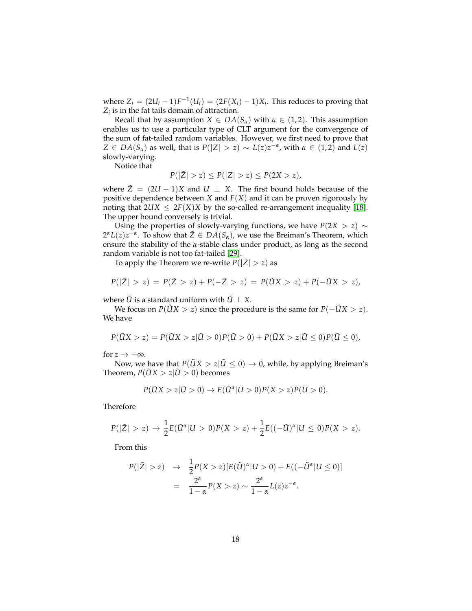where  $Z_i = (2U_i - 1)F^{-1}(U_i) = (2F(X_i) - 1)X_i$ . This reduces to proving that *Zi* is in the fat tails domain of attraction.

Recall that by assumption  $X \in DA(S_\alpha)$  with  $\alpha \in (1,2)$ . This assumption enables us to use a particular type of CLT argument for the convergence of the sum of fat-tailed random variables. However, we first need to prove that *Z* ∈ *DA*( $S_\alpha$ ) as well, that is  $P(|Z| > z) \sim L(z)z^{-\alpha}$ , with  $\alpha \in (1,2)$  and  $L(z)$ slowly-varying.

Notice that

$$
P(|\tilde{Z}| > z) \le P(|Z| > z) \le P(2X > z),
$$

where  $\tilde{Z} = (2U - 1)X$  and  $U \perp X$ . The first bound holds because of the positive dependence between *X* and *F*(*X*) and it can be proven rigorously by noting that  $2UX \leq 2F(X)X$  by the so-called re-arrangement inequality [\[18\]](#page-21-14). The upper bound conversely is trivial.

Using the properties of slowly-varying functions, we have  $P(2X > z) \sim$  $2^{\alpha}L(z)z^{-\alpha}$ . To show that  $\tilde{Z} \in DA(S_{\alpha})$ , we use the Breiman's Theorem, which ensure the stability of the *α*-stable class under product, as long as the second random variable is not too fat-tailed [\[29\]](#page-21-15).

To apply the Theorem we re-write  $P(|\tilde{Z}| > z)$  as

$$
P(|\tilde{Z}| > z) = P(\tilde{Z} > z) + P(-\tilde{Z} > z) = P(\tilde{U}X > z) + P(-\tilde{U}X > z),
$$

where  $\tilde{U}$  is a standard uniform with  $\tilde{U} \perp X$ .

We focus on *P*( $\tilde{U}X > z$ ) since the procedure is the same for *P*( $-\tilde{U}X > z$ ). We have

$$
P(\tilde{U}X > z) = P(\tilde{U}X > z | \tilde{U} > 0) P(\tilde{U} > 0) + P(\tilde{U}X > z | \tilde{U} \le 0) P(\tilde{U} \le 0),
$$

for  $z \rightarrow +\infty$ .

Now, we have that  $P(\tilde{U}X > z | \tilde{U} \leq 0) \rightarrow 0$ , while, by applying Breiman's Theorem,  $P(\tilde{U}X > z | \tilde{U} > 0)$  becomes

$$
P(\tilde{U}X > z | \tilde{U} > 0) \rightarrow E(\tilde{U}^{\alpha} | U > 0)P(X > z)P(U > 0).
$$

Therefore

$$
P(|\tilde{Z}| > z) \to \frac{1}{2}E(\tilde{U}^{\alpha}|U > 0)P(X > z) + \frac{1}{2}E((-\tilde{U})^{\alpha}|U \le 0)P(X > z).
$$

From this

$$
P(|\tilde{Z}|>z) \rightarrow \frac{1}{2}P(X>z)[E(\tilde{U})^{\alpha}|U>0)+E((-\tilde{U}^{\alpha}|U\leq 0)]
$$
  
= 
$$
\frac{2^{\alpha}}{1-\alpha}P(X>z) \sim \frac{2^{\alpha}}{1-\alpha}L(z)z^{-\alpha}.
$$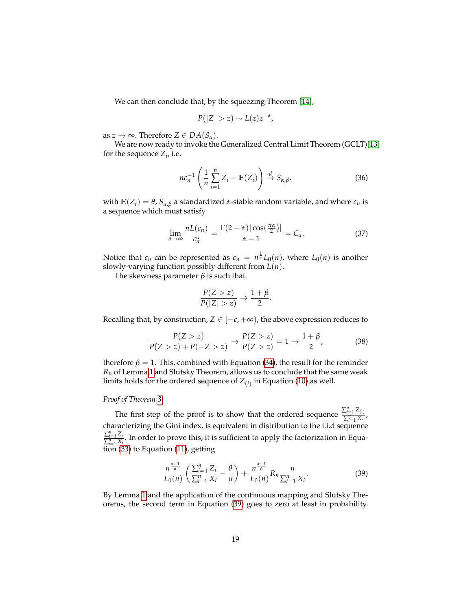We can then conclude that, by the squeezing Theorem [\[14\]](#page-20-9),

$$
P(|Z|>z)\sim L(z)z^{-\alpha},
$$

as  $z \to \infty$ . Therefore  $Z \in DA(S_\alpha)$ .

We are now ready to invoke the Generalized Central Limit Theorem (GCLT)[\[13\]](#page-20-1) for the sequence  $Z_i$ , i.e.

$$
nc_n^{-1}\left(\frac{1}{n}\sum_{i=1}^n Z_i - \mathbb{E}(Z_i)\right) \stackrel{d}{\to} S_{\alpha,\beta}.
$$
 (36)

with  $\mathbb{E}(Z_i) = \theta$ ,  $S_{\alpha,\beta}$  a standardized *α*-stable random variable, and where *c<sub>n</sub>* is a sequence which must satisfy

<span id="page-18-0"></span>
$$
\lim_{n \to \infty} \frac{nL(c_n)}{c_n^{\alpha}} = \frac{\Gamma(2 - \alpha) |\cos(\frac{\pi \alpha}{2})|}{\alpha - 1} = C_{\alpha}.
$$
 (37)

Notice that  $c_n$  can be represented as  $c_n = n^{\frac{1}{\alpha}} L_0(n)$ , where  $L_0(n)$  is another slowly-varying function possibly different from *L*(*n*).

The skewness parameter  $\beta$  is such that

$$
\frac{P(Z > z)}{P(|Z| > z)} \to \frac{1 + \beta}{2}.
$$

Recalling that, by construction,  $Z \in [-c, +\infty)$ , the above expression reduces to

<span id="page-18-2"></span>
$$
\frac{P(Z > z)}{P(Z > z) + P(-Z > z)} \to \frac{P(Z > z)}{P(Z > z)} = 1 \to \frac{1 + \beta}{2},\tag{38}
$$

therefore  $\beta = 1$ . This, combined with Equation [\(34\)](#page-16-2), the result for the reminder *R<sup>n</sup>* of Lemma [1](#page-4-3) and Slutsky Theorem, allows us to conclude that the same weak limits holds for the ordered sequence of  $Z_{(i)}$  in Equation [\(10\)](#page-6-3) as well.

## *Proof of Theorem [3](#page-6-1)*

The first step of the proof is to show that the ordered sequence  $\frac{\sum_{i=1}^{n} Z_{(i)}}{\sum_{i=1}^{n} X_{(i)}}$  $\frac{z_{i=1} - i}{\sum_{i=1}^{n} X_i}$ characterizing the Gini index, is equivalent in distribution to the i.i.d sequence  $\sum_{i=1}^n Z_i$  $\frac{\sum_{i=1}^{j} \sum_{i=1}^{j} X_i}{\sum_{i=1}^{j} X_i}$ . In order to prove this, it is sufficient to apply the factorization in Equation [\(33\)](#page-16-1) to Equation [\(11\)](#page-6-2), getting

<span id="page-18-1"></span>
$$
\frac{n^{\frac{\alpha-1}{\alpha}}}{L_0(n)} \left( \frac{\sum_{i=1}^n Z_i}{\sum_{i=1}^n X_i} - \frac{\theta}{\mu} \right) + \frac{n^{\frac{\alpha-1}{\alpha}}}{L_0(n)} R_n \frac{n}{\sum_{i=1}^n X_i}.
$$
 (39)

By Lemma [1](#page-4-3) and the application of the continuous mapping and Slutsky Theorems, the second term in Equation [\(39\)](#page-18-1) goes to zero at least in probability.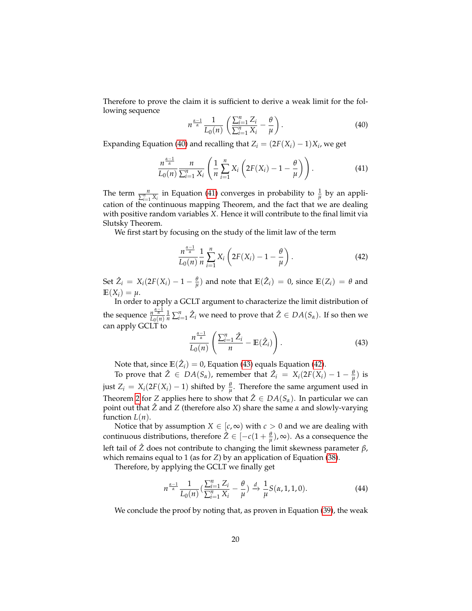Therefore to prove the claim it is sufficient to derive a weak limit for the following sequence

<span id="page-19-0"></span>
$$
n^{\frac{\alpha-1}{\alpha}} \frac{1}{L_0(n)} \left( \frac{\sum_{i=1}^n Z_i}{\sum_{i=1}^n X_i} - \frac{\theta}{\mu} \right).
$$
 (40)

Expanding Equation [\(40\)](#page-19-0) and recalling that  $Z_i = (2F(X_i) - 1)X_i$ , we get

<span id="page-19-1"></span>
$$
\frac{n^{\frac{\alpha-1}{\alpha}}}{L_0(n)}\frac{n}{\sum_{i=1}^n X_i}\left(\frac{1}{n}\sum_{i=1}^n X_i\left(2F(X_i)-1-\frac{\theta}{\mu}\right)\right). \tag{41}
$$

The term  $\frac{n}{\sum_{i=1}^{n} X_i}$  in Equation [\(41\)](#page-19-1) converges in probability to  $\frac{1}{\mu}$  by an application of the continuous mapping Theorem, and the fact that we are dealing with positive random variables *X*. Hence it will contribute to the final limit via Slutsky Theorem.

We first start by focusing on the study of the limit law of the term

<span id="page-19-3"></span>
$$
\frac{n^{\frac{\alpha-1}{\alpha}}}{L_0(n)}\frac{1}{n}\sum_{i=1}^n X_i\left(2F(X_i)-1-\frac{\theta}{\mu}\right). \tag{42}
$$

Set  $\hat{Z}_i = X_i(2F(X_i) - 1 - \frac{\theta}{\mu})$  and note that  $\mathbb{E}(\hat{Z}_i) = 0$ , since  $\mathbb{E}(Z_i) = \theta$  and  $E(X_i) = \mu$ .

In order to apply a GCLT argument to characterize the limit distribution of the sequence  $\frac{n^{\frac{\alpha-1}{\alpha}}}{L_0(n)}\frac{1}{n}\sum_{i=1}^n \hat{Z}_i$  we need to prove that  $\hat{Z}\in DA(S_\alpha)$ . If so then we can apply GCLT to

<span id="page-19-2"></span>
$$
\frac{n^{\frac{\alpha-1}{\alpha}}}{L_0(n)}\left(\frac{\sum_{i=1}^n \hat{Z}_i}{n} - \mathbb{E}(\hat{Z}_i)\right).
$$
\n(43)

Note that, since  $\mathbb{E}(\hat{Z}_i) = 0$ , Equation [\(43\)](#page-19-2) equals Equation [\(42\)](#page-19-3).

To prove that  $\hat{Z} \in DA(S_\alpha)$ , remember that  $\hat{Z}_i = X_i(2F(X_i) - 1 - \frac{\theta}{\mu})$  is just  $Z_i = X_i(2F(X_i) - 1)$  shifted by  $\frac{\theta}{\mu}$ . Therefore the same argument used in Theorem [2](#page-6-0) for *Z* applies here to show that  $\hat{Z} \in DA(S_{\alpha})$ . In particular we can point out that *Z*ˆ and *Z* (therefore also *X*) share the same *α* and slowly-varying function  $L(n)$ .

Notice that by assumption  $X \in [c, \infty)$  with  $c > 0$  and we are dealing with continuous distributions, therefore  $\hat{Z} \in [-c(1 + \frac{\theta}{\mu}), \infty)$ . As a consequence the left tail of *Z*ˆ does not contribute to changing the limit skewness parameter *β*, which remains equal to 1 (as for *Z*) by an application of Equation [\(38\)](#page-18-2).

Therefore, by applying the GCLT we finally get

*n*

$$
t^{\frac{\alpha-1}{\alpha}} \frac{1}{L_0(n)} \left( \frac{\sum_{i=1}^n Z_i}{\sum_{i=1}^n X_i} - \frac{\theta}{\mu} \right) \xrightarrow{d} \frac{1}{\mu} S(\alpha, 1, 1, 0).
$$
 (44)

We conclude the proof by noting that, as proven in Equation [\(39\)](#page-18-1), the weak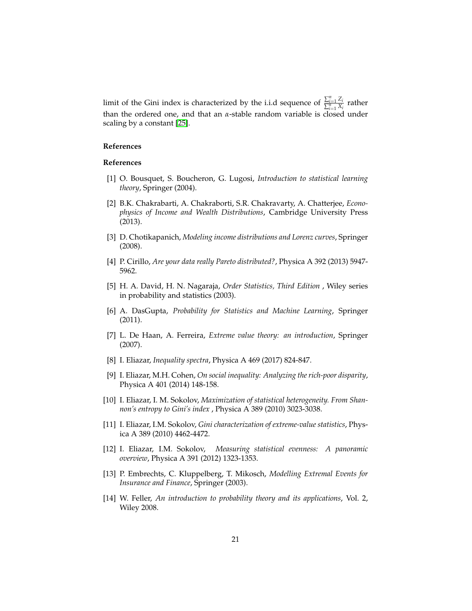limit of the Gini index is characterized by the i.i.d sequence of  $\frac{\sum_{i=1}^{n} Z_i}{\sum_{i=1}^{n} X_i}$  $\frac{\sum_{i=1}^{i=1}^{n} x_i}{\sum_{i=1}^{n} x_i}$  rather than the ordered one, and that an *α*-stable random variable is closed under scaling by a constant [\[25\]](#page-21-11).

#### **References**

#### **References**

- <span id="page-20-13"></span>[1] O. Bousquet, S. Boucheron, G. Lugosi, *Introduction to statistical learning theory*, Springer (2004).
- <span id="page-20-0"></span>[2] B.K. Chakrabarti, A. Chakraborti, S.R. Chakravarty, A. Chatterjee, *Econophysics of Income and Wealth Distributions*, Cambridge University Press (2013).
- <span id="page-20-3"></span>[3] D. Chotikapanich, *Modeling income distributions and Lorenz curves*, Springer (2008).
- <span id="page-20-8"></span>[4] P. Cirillo, *Are your data really Pareto distributed?*, Physica A 392 (2013) 5947- 5962.
- <span id="page-20-11"></span>[5] H. A. David, H. N. Nagaraja, *Order Statistics, Third Edition* , Wiley series in probability and statistics (2003).
- <span id="page-20-12"></span>[6] A. DasGupta, *Probability for Statistics and Machine Learning*, Springer (2011).
- <span id="page-20-7"></span>[7] L. De Haan, A. Ferreira, *Extreme value theory: an introduction*, Springer (2007).
- <span id="page-20-4"></span>[8] I. Eliazar, *Inequality spectra*, Physica A 469 (2017) 824-847.
- <span id="page-20-2"></span>[9] I. Eliazar, M.H. Cohen, *On social inequality: Analyzing the rich-poor disparity*, Physica A 401 (2014) 148-158.
- <span id="page-20-5"></span>[10] I. Eliazar, I. M. Sokolov, *Maximization of statistical heterogeneity. From Shannon's entropy to Gini's index* , Physica A 389 (2010) 3023-3038.
- <span id="page-20-6"></span>[11] I. Eliazar, I.M. Sokolov, *Gini characterization of extreme-value statistics*, Physica A 389 (2010) 4462-4472.
- <span id="page-20-10"></span>[12] I. Eliazar, I.M. Sokolov, *Measuring statistical evenness: A panoramic overview*, Physica A 391 (2012) 1323-1353.
- <span id="page-20-1"></span>[13] P. Embrechts, C. Kluppelberg, T. Mikosch, *Modelling Extremal Events for Insurance and Finance*, Springer (2003).
- <span id="page-20-9"></span>[14] W. Feller, *An introduction to probability theory and its applications*, Vol. 2, Wiley 2008.